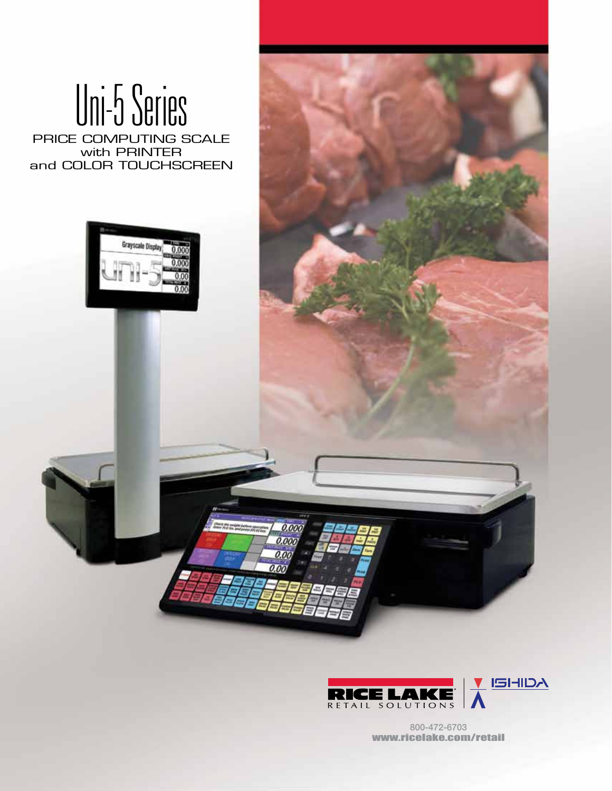# Uni-5 Series

PRICE COMPUTING SCALE with PRINTER and COLOR TOUCHSCREEN





 $0.00$ 0.00  $0.00$ 

> 800-472-6703 www.ricelake.com/retail